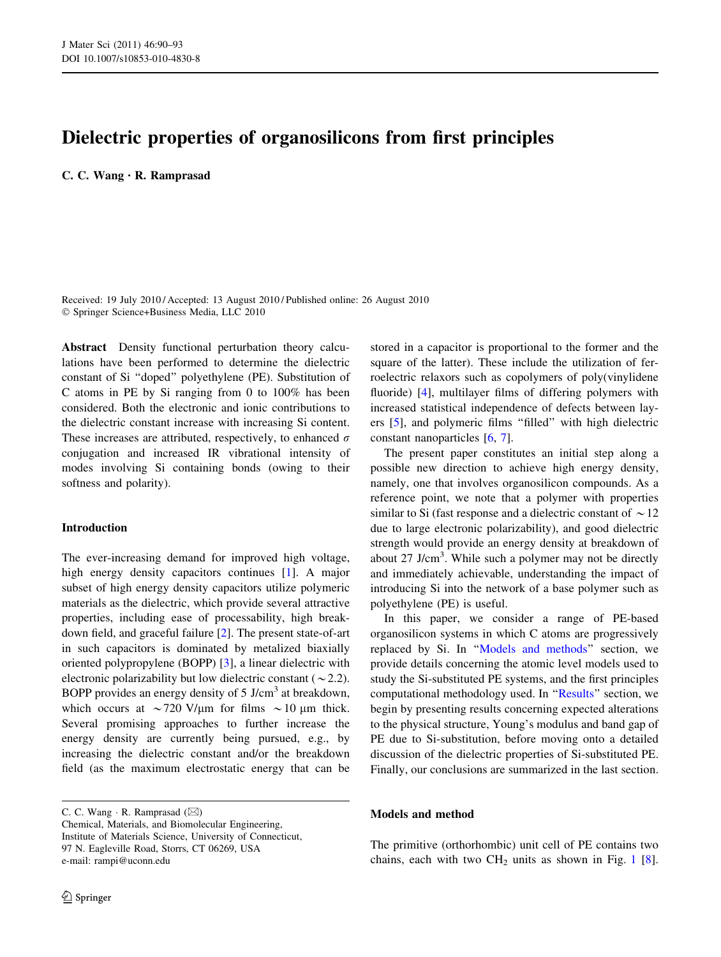# Dielectric properties of organosilicons from first principles

C. C. Wang • R. Ramprasad

Received: 19 July 2010 / Accepted: 13 August 2010 / Published online: 26 August 2010 - Springer Science+Business Media, LLC 2010

Abstract Density functional perturbation theory calculations have been performed to determine the dielectric constant of Si ''doped'' polyethylene (PE). Substitution of C atoms in PE by Si ranging from 0 to 100% has been considered. Both the electronic and ionic contributions to the dielectric constant increase with increasing Si content. These increases are attributed, respectively, to enhanced  $\sigma$ conjugation and increased IR vibrational intensity of modes involving Si containing bonds (owing to their softness and polarity).

## Introduction

The ever-increasing demand for improved high voltage, high energy density capacitors continues [\[1](#page-3-0)]. A major subset of high energy density capacitors utilize polymeric materials as the dielectric, which provide several attractive properties, including ease of processability, high breakdown field, and graceful failure [\[2](#page-3-0)]. The present state-of-art in such capacitors is dominated by metalized biaxially oriented polypropylene (BOPP) [[3\]](#page-3-0), a linear dielectric with electronic polarizability but low dielectric constant ( $\sim$  2.2). BOPP provides an energy density of 5 J/cm<sup>3</sup> at breakdown, which occurs at  $\sim$ 720 V/µm for films  $\sim$ 10 µm thick. Several promising approaches to further increase the energy density are currently being pursued, e.g., by increasing the dielectric constant and/or the breakdown field (as the maximum electrostatic energy that can be

C. C. Wang  $\cdot$  R. Ramprasad ( $\boxtimes$ ) Chemical, Materials, and Biomolecular Engineering, Institute of Materials Science, University of Connecticut, 97 N. Eagleville Road, Storrs, CT 06269, USA e-mail: rampi@uconn.edu

stored in a capacitor is proportional to the former and the square of the latter). These include the utilization of ferroelectric relaxors such as copolymers of poly(vinylidene fluoride) [\[4](#page-3-0)], multilayer films of differing polymers with increased statistical independence of defects between layers [\[5](#page-3-0)], and polymeric films ''filled'' with high dielectric constant nanoparticles [[6,](#page-3-0) [7\]](#page-3-0).

The present paper constitutes an initial step along a possible new direction to achieve high energy density, namely, one that involves organosilicon compounds. As a reference point, we note that a polymer with properties similar to Si (fast response and a dielectric constant of  $\sim$  12 due to large electronic polarizability), and good dielectric strength would provide an energy density at breakdown of about  $27$  J/cm<sup>3</sup>. While such a polymer may not be directly and immediately achievable, understanding the impact of introducing Si into the network of a base polymer such as polyethylene (PE) is useful.

In this paper, we consider a range of PE-based organosilicon systems in which C atoms are progressively replaced by Si. In ''Models and methods'' section, we provide details concerning the atomic level models used to study the Si-substituted PE systems, and the first principles computational methodology used. In ''[Results'](#page-1-0)' section, we begin by presenting results concerning expected alterations to the physical structure, Young's modulus and band gap of PE due to Si-substitution, before moving onto a detailed discussion of the dielectric properties of Si-substituted PE. Finally, our conclusions are summarized in the last section.

## Models and method

The primitive (orthorhombic) unit cell of PE contains two chains, each with two  $CH<sub>2</sub>$  units as shown in Fig. [1](#page-1-0) [\[8](#page-3-0)].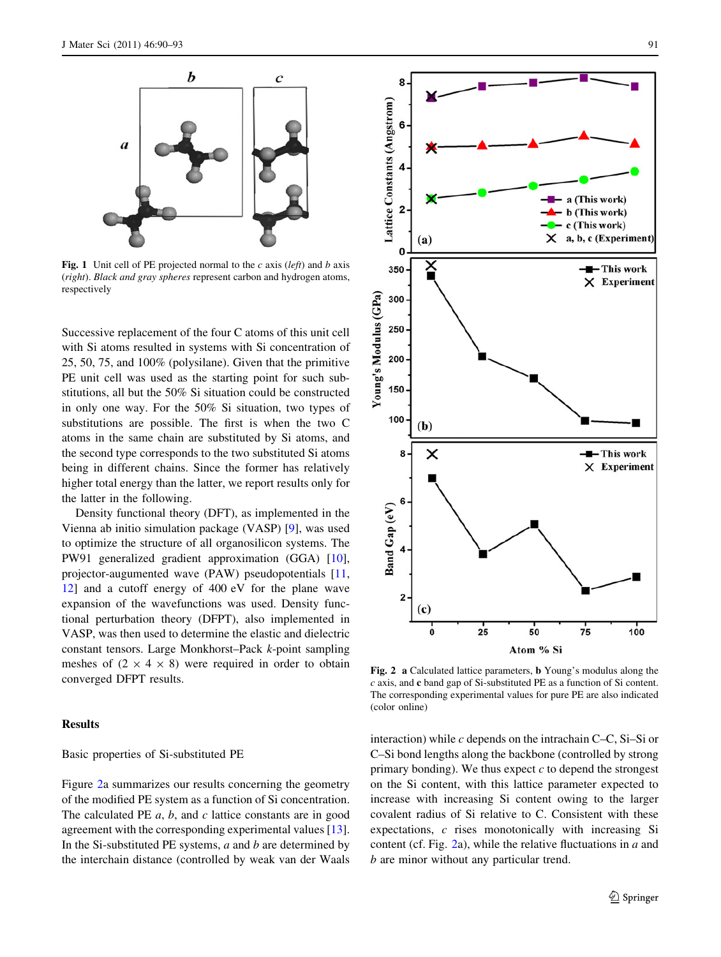<span id="page-1-0"></span>

Fig. 1 Unit cell of PE projected normal to the c axis (left) and b axis (right). Black and gray spheres represent carbon and hydrogen atoms, respectively

Successive replacement of the four C atoms of this unit cell with Si atoms resulted in systems with Si concentration of 25, 50, 75, and 100% (polysilane). Given that the primitive PE unit cell was used as the starting point for such substitutions, all but the 50% Si situation could be constructed in only one way. For the 50% Si situation, two types of substitutions are possible. The first is when the two C atoms in the same chain are substituted by Si atoms, and the second type corresponds to the two substituted Si atoms being in different chains. Since the former has relatively higher total energy than the latter, we report results only for the latter in the following.

Density functional theory (DFT), as implemented in the Vienna ab initio simulation package (VASP) [[9\]](#page-3-0), was used to optimize the structure of all organosilicon systems. The PW91 generalized gradient approximation (GGA) [\[10](#page-3-0)], projector-augumented wave (PAW) pseudopotentials [[11,](#page-3-0) [12](#page-3-0)] and a cutoff energy of 400 eV for the plane wave expansion of the wavefunctions was used. Density functional perturbation theory (DFPT), also implemented in VASP, was then used to determine the elastic and dielectric constant tensors. Large Monkhorst–Pack k-point sampling meshes of  $(2 \times 4 \times 8)$  were required in order to obtain converged DFPT results.

## Results

#### Basic properties of Si-substituted PE

Figure 2a summarizes our results concerning the geometry of the modified PE system as a function of Si concentration. The calculated PE  $a, b$ , and  $c$  lattice constants are in good agreement with the corresponding experimental values [\[13](#page-3-0)]. In the Si-substituted PE systems,  $a$  and  $b$  are determined by the interchain distance (controlled by weak van der Waals



Fig. 2 a Calculated lattice parameters, b Young's modulus along the c axis, and c band gap of Si-substituted PE as a function of Si content. The corresponding experimental values for pure PE are also indicated (color online)

interaction) while  $c$  depends on the intrachain C–C, Si–Si or C–Si bond lengths along the backbone (controlled by strong primary bonding). We thus expect  $c$  to depend the strongest on the Si content, with this lattice parameter expected to increase with increasing Si content owing to the larger covalent radius of Si relative to C. Consistent with these expectations, c rises monotonically with increasing Si content (cf. Fig. 2a), while the relative fluctuations in  $a$  and b are minor without any particular trend.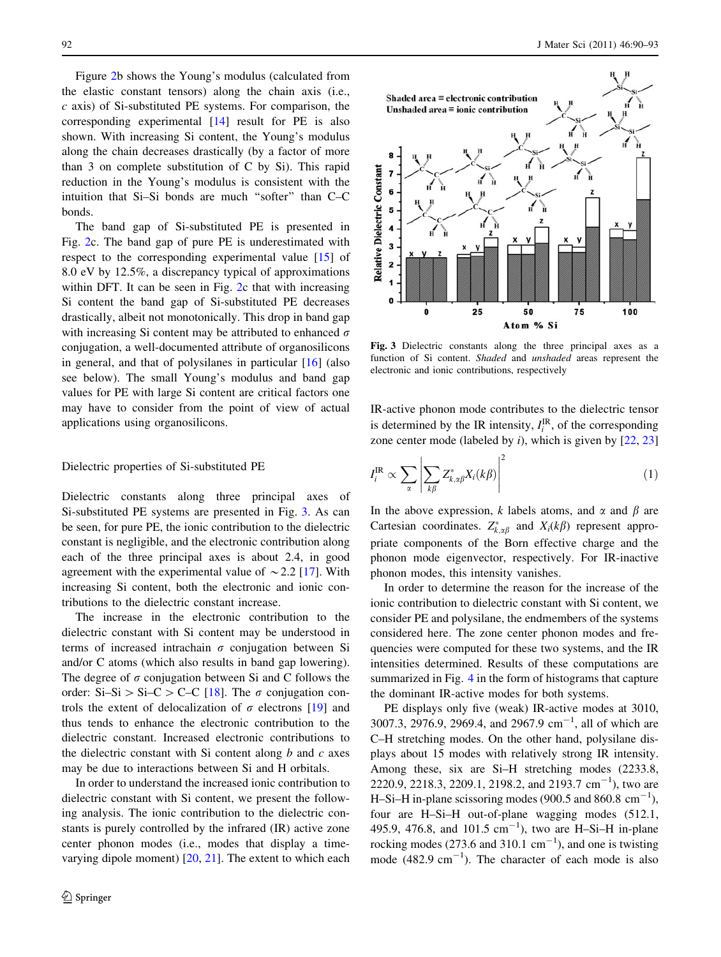Figure [2b](#page-1-0) shows the Young's modulus (calculated from the elastic constant tensors) along the chain axis (i.e.,  $c$  axis) of Si-substituted PE systems. For comparison, the corresponding experimental [\[14](#page-3-0)] result for PE is also shown. With increasing Si content, the Young's modulus along the chain decreases drastically (by a factor of more than 3 on complete substitution of C by Si). This rapid reduction in the Young's modulus is consistent with the intuition that Si–Si bonds are much ''softer'' than C–C bonds.

The band gap of Si-substituted PE is presented in Fig. [2](#page-1-0)c. The band gap of pure PE is underestimated with respect to the corresponding experimental value [[15\]](#page-3-0) of 8.0 eV by 12.5%, a discrepancy typical of approximations within DFT. It can be seen in Fig. [2c](#page-1-0) that with increasing Si content the band gap of Si-substituted PE decreases drastically, albeit not monotonically. This drop in band gap with increasing Si content may be attributed to enhanced  $\sigma$ conjugation, a well-documented attribute of organosilicons in general, and that of polysilanes in particular [[16\]](#page-3-0) (also see below). The small Young's modulus and band gap values for PE with large Si content are critical factors one may have to consider from the point of view of actual applications using organosilicons.

### Dielectric properties of Si-substituted PE

Dielectric constants along three principal axes of Si-substituted PE systems are presented in Fig. 3. As can be seen, for pure PE, the ionic contribution to the dielectric constant is negligible, and the electronic contribution along each of the three principal axes is about 2.4, in good agreement with the experimental value of  $\sim$  2.2 [\[17](#page-3-0)]. With increasing Si content, both the electronic and ionic contributions to the dielectric constant increase.

The increase in the electronic contribution to the dielectric constant with Si content may be understood in terms of increased intrachain  $\sigma$  conjugation between Si and/or C atoms (which also results in band gap lowering). The degree of  $\sigma$  conjugation between Si and C follows the order: Si–Si > Si–C > C–C [\[18](#page-3-0)]. The  $\sigma$  conjugation controls the extent of delocalization of  $\sigma$  electrons [\[19](#page-3-0)] and thus tends to enhance the electronic contribution to the dielectric constant. Increased electronic contributions to the dielectric constant with Si content along  $b$  and  $c$  axes may be due to interactions between Si and H orbitals.

In order to understand the increased ionic contribution to dielectric constant with Si content, we present the following analysis. The ionic contribution to the dielectric constants is purely controlled by the infrared (IR) active zone center phonon modes (i.e., modes that display a timevarying dipole moment) [\[20](#page-3-0), [21](#page-3-0)]. The extent to which each



Fig. 3 Dielectric constants along the three principal axes as a function of Si content. Shaded and unshaded areas represent the electronic and ionic contributions, respectively

IR-active phonon mode contributes to the dielectric tensor is determined by the IR intensity,  $I_i^{IR}$ , of the corresponding zone center mode (labeled by  $i$ ), which is given by  $[22, 23]$  $[22, 23]$  $[22, 23]$  $[22, 23]$ 

$$
I_i^{\rm IR} \propto \sum_{\alpha} \left| \sum_{k\beta} Z_{k,\alpha\beta}^* X_i(k\beta) \right|^2 \tag{1}
$$

In the above expression, k labels atoms, and  $\alpha$  and  $\beta$  are Cartesian coordinates.  $Z_{k,\alpha\beta}^*$  and  $X_i(k\beta)$  represent appropriate components of the Born effective charge and the phonon mode eigenvector, respectively. For IR-inactive phonon modes, this intensity vanishes.

In order to determine the reason for the increase of the ionic contribution to dielectric constant with Si content, we consider PE and polysilane, the endmembers of the systems considered here. The zone center phonon modes and frequencies were computed for these two systems, and the IR intensities determined. Results of these computations are summarized in Fig. [4](#page-3-0) in the form of histograms that capture the dominant IR-active modes for both systems.

PE displays only five (weak) IR-active modes at 3010, 3007.3, 2976.9, 2969.4, and 2967.9 cm<sup>-1</sup>, all of which are C–H stretching modes. On the other hand, polysilane displays about 15 modes with relatively strong IR intensity. Among these, six are Si–H stretching modes (2233.8, 2220.9, 2218.3, 2209.1, 2198.2, and 2193.7 cm<sup>-1</sup>), two are H–Si–H in-plane scissoring modes (900.5 and 860.8  $\text{cm}^{-1}$ ), four are H–Si–H out-of-plane wagging modes (512.1, 495.9, 476.8, and 101.5  $cm^{-1}$ ), two are H-Si-H in-plane rocking modes (273.6 and 310.1  $\text{cm}^{-1}$ ), and one is twisting mode  $(482.9 \text{ cm}^{-1})$ . The character of each mode is also